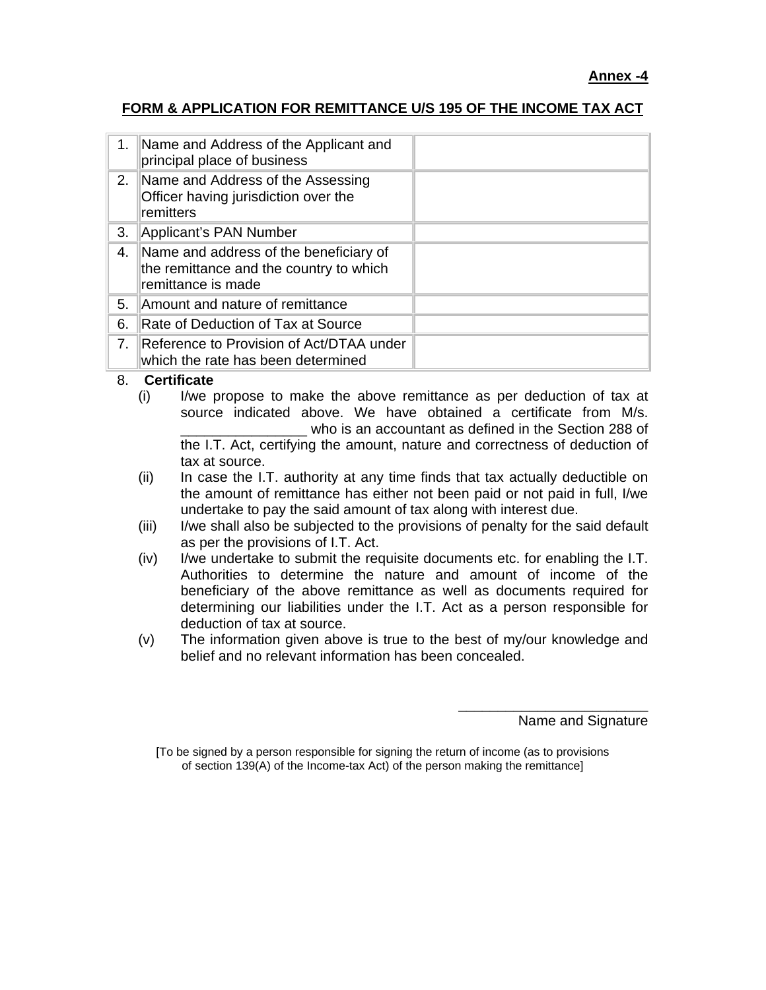## **FORM & APPLICATION FOR REMITTANCE U/S 195 OF THE INCOME TAX ACT**

| 1.                             | Name and Address of the Applicant and<br>principal place of business                                    |  |
|--------------------------------|---------------------------------------------------------------------------------------------------------|--|
| 2.                             | Name and Address of the Assessing<br>Officer having jurisdiction over the<br>remitters                  |  |
| 3.                             | Applicant's PAN Number                                                                                  |  |
| 4.                             | Name and address of the beneficiary of<br>the remittance and the country to which<br>remittance is made |  |
| 5.                             | Amount and nature of remittance                                                                         |  |
| 6.                             | Rate of Deduction of Tax at Source                                                                      |  |
| $7_{\scriptscriptstyle{\sim}}$ | Reference to Provision of Act/DTAA under<br>which the rate has been determined                          |  |

## 8. **Certificate**

- (i) I/we propose to make the above remittance as per deduction of tax at source indicated above. We have obtained a certificate from M/s. who is an accountant as defined in the Section 288 of the I.T. Act, certifying the amount, nature and correctness of deduction of tax at source.
- (ii) In case the I.T. authority at any time finds that tax actually deductible on the amount of remittance has either not been paid or not paid in full, I/we undertake to pay the said amount of tax along with interest due.
- (iii) I/we shall also be subjected to the provisions of penalty for the said default as per the provisions of I.T. Act.
- (iv) I/we undertake to submit the requisite documents etc. for enabling the I.T. Authorities to determine the nature and amount of income of the beneficiary of the above remittance as well as documents required for determining our liabilities under the I.T. Act as a person responsible for deduction of tax at source.
- (v) The information given above is true to the best of my/our knowledge and belief and no relevant information has been concealed.

Name and Signature

\_\_\_\_\_\_\_\_\_\_\_\_\_\_\_\_\_\_\_\_\_\_\_\_

<sup>[</sup>To be signed by a person responsible for signing the return of income (as to provisions of section 139(A) of the Income-tax Act) of the person making the remittance]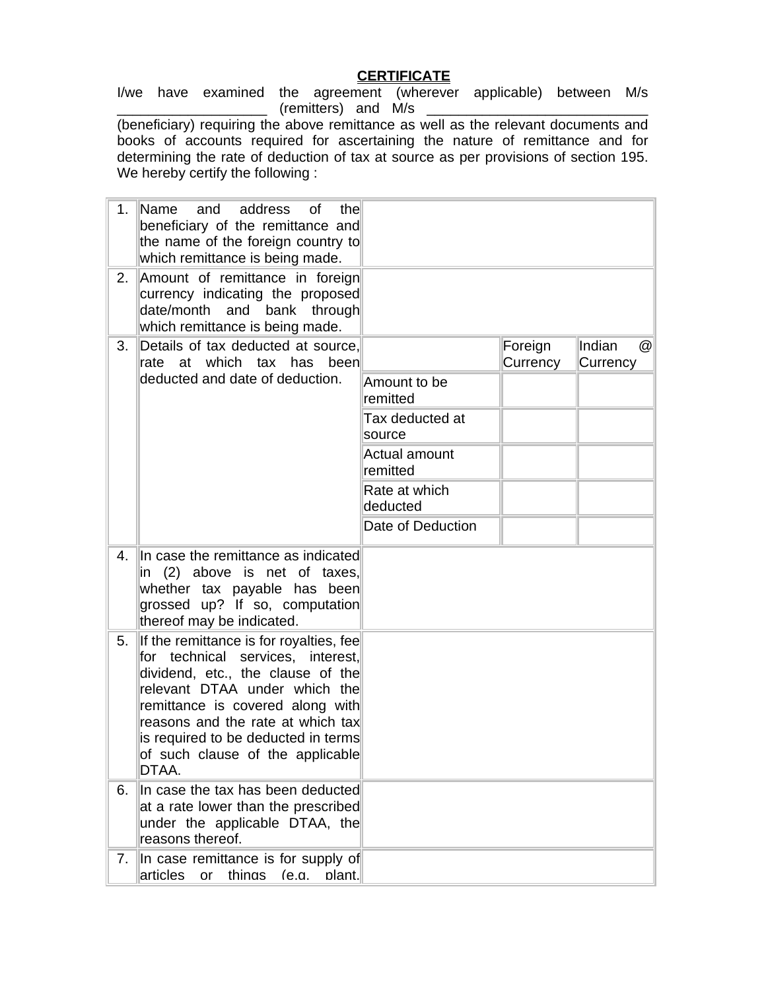## **CERTIFICATE**

I/we have examined the agreement (wherever applicable) between M/s  $($ remitters) and M/s

(beneficiary) requiring the above remittance as well as the relevant documents and books of accounts required for ascertaining the nature of remittance and for determining the rate of deduction of tax at source as per provisions of section 195. We hereby certify the following :

| 1. | Name<br>address<br>and<br>οf<br>the<br>beneficiary of the remittance and<br>the name of the foreign country to<br>which remittance is being made.                                                                                                                                                               |                           |                     |                                       |
|----|-----------------------------------------------------------------------------------------------------------------------------------------------------------------------------------------------------------------------------------------------------------------------------------------------------------------|---------------------------|---------------------|---------------------------------------|
| 2. | Amount of remittance in foreign<br>currency indicating the proposed<br>date/month and bank through<br>which remittance is being made.                                                                                                                                                                           |                           |                     |                                       |
| 3. | Details of tax deducted at source,<br>rate at which tax has<br>been                                                                                                                                                                                                                                             |                           | Foreign<br>Currency | Indian<br>$^{\copyright}$<br>Currency |
|    | deducted and date of deduction.                                                                                                                                                                                                                                                                                 | Amount to be<br>remitted  |                     |                                       |
|    |                                                                                                                                                                                                                                                                                                                 | Tax deducted at<br>source |                     |                                       |
|    |                                                                                                                                                                                                                                                                                                                 | Actual amount<br>remitted |                     |                                       |
|    |                                                                                                                                                                                                                                                                                                                 | Rate at which<br>deducted |                     |                                       |
|    |                                                                                                                                                                                                                                                                                                                 | Date of Deduction         |                     |                                       |
| 4. | In case the remittance as indicated<br>in (2) above is net of taxes,<br>whether tax payable has been<br>grossed up? If so, computation<br>thereof may be indicated.                                                                                                                                             |                           |                     |                                       |
| 5. | If the remittance is for royalties, fee<br>for technical services, interest,<br>dividend, etc., the clause of the<br>relevant DTAA under which the<br>remittance is covered along with<br>reasons and the rate at which tax<br>is required to be deducted in terms<br>of such clause of the applicable<br>DTAA. |                           |                     |                                       |
| 6. | In case the tax has been deducted<br>at a rate lower than the prescribed<br>under the applicable DTAA, the<br>reasons thereof.                                                                                                                                                                                  |                           |                     |                                       |
| 7. | In case remittance is for supply of<br>articles<br>thinas<br>(e.a.<br>plant.<br>or                                                                                                                                                                                                                              |                           |                     |                                       |